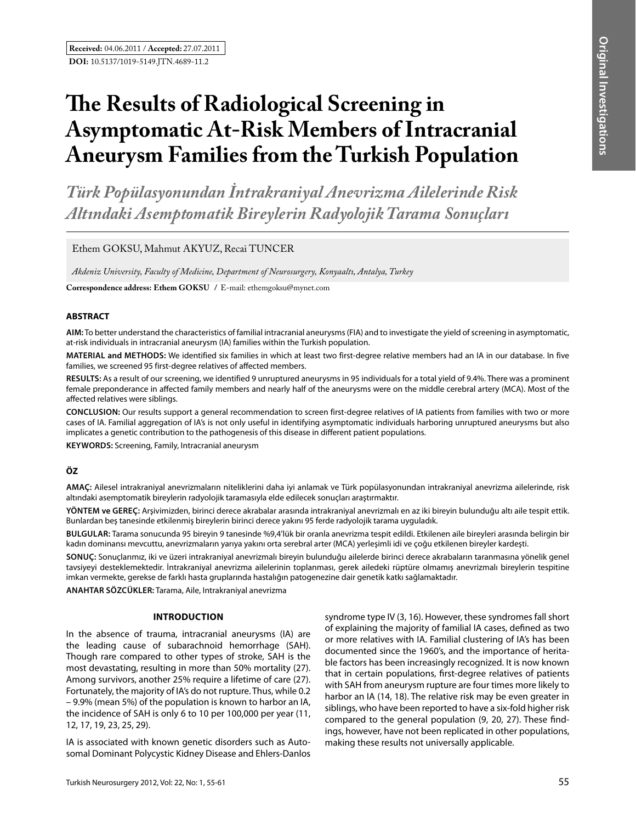# **The Results of Radiological Screening in Asymptomatic At-Risk Members of Intracranial Aneurysm Families from the Turkish Population**

*Türk Popülasyonundan İntrakraniyal Anevrizma Ailelerinde Risk Altındaki Asemptomatik Bireylerin Radyolojik Tarama Sonuçları*

Ethem GOKSU, Mahmut AKYUZ, Recai TUNCER

*Akdeniz University, Faculty of Medicine, Department of Neurosurgery, Konyaaltı, Antalya, Turkey*

**Correspondence address: Ethem GOksu /** E-mail: ethemgoksu@mynet.com

# **ABSTRACT**

**AIm:** To better understand the characteristics of familial intracranial aneurysms (FIA) and to investigate the yield of screening in asymptomatic, at-risk individuals in intracranial aneurysm (IA) families within the Turkish population.

**MaterIal and Methods:** We identified six families in which at least two first-degree relative members had an IA in our database. In five families, we screened 95 first-degree relatives of affected members.

**Results:** As a result of our screening, we identified 9 unruptured aneurysms in 95 individuals for a total yield of 9.4%. There was a prominent female preponderance in affected family members and nearly half of the aneurysms were on the middle cerebral artery (MCA). Most of the affected relatives were siblings.

**ConclusIon:** Our results support a general recommendation to screen first-degree relatives of IA patients from families with two or more cases of IA. Familial aggregation of IA's is not only useful in identifying asymptomatic individuals harboring unruptured aneurysms but also implicates a genetic contribution to the pathogenesis of this disease in different patient populations.

**Keywords:** Screening, Family, Intracranial aneurysm

# **ÖZ**

**AMAÇ:** Ailesel intrakraniyal anevrizmaların niteliklerini daha iyi anlamak ve Türk popülasyonundan intrakraniyal anevrizma ailelerinde, risk altındaki asemptomatik bireylerin radyolojik taramasıyla elde edilecek sonuçları araştırmaktır.

**YÖNTEM ve GEREÇ:** Arşivimizden, birinci derece akrabalar arasında intrakraniyal anevrizmalı en az iki bireyin bulunduğu altı aile tespit ettik. Bunlardan beş tanesinde etkilenmiş bireylerin birinci derece yakını 95 ferde radyolojik tarama uyguladık.

**BULGULAR:** Tarama sonucunda 95 bireyin 9 tanesinde %9,4'lük bir oranla anevrizma tespit edildi. Etkilenen aile bireyleri arasında belirgin bir kadın dominansı mevcuttu, anevrizmaların yarıya yakını orta serebral arter (MCA) yerleşimli idi ve çoğu etkilenen bireyler kardeşti.

**SONUÇ:** Sonuçlarımız, iki ve üzeri intrakraniyal anevrizmalı bireyin bulunduğu ailelerde birinci derece akrabaların taranmasına yönelik genel tavsiyeyi desteklemektedir. İntrakraniyal anevrizma ailelerinin toplanması, gerek ailedeki rüptüre olmamış anevrizmalı bireylerin tespitine imkan vermekte, gerekse de farklı hasta gruplarında hastalığın patogenezine dair genetik katkı sağlamaktadır.

**ANAHTAR SÖZCÜKLER:** Tarama, Aile, Intrakraniyal anevrizma

#### **INTRODUCTION**

In the absence of trauma, intracranial aneurysms (IA) are the leading cause of subarachnoid hemorrhage (SAH). Though rare compared to other types of stroke, SAH is the most devastating, resulting in more than 50% mortality (27). Among survivors, another 25% require a lifetime of care (27). Fortunately, the majority of IA's do not rupture. Thus, while 0.2 – 9.9% (mean 5%) of the population is known to harbor an IA, the incidence of SAH is only 6 to 10 per 100,000 per year (11, 12, 17, 19, 23, 25, 29).

IA is associated with known genetic disorders such as Autosomal Dominant Polycystic Kidney Disease and Ehlers-Danlos syndrome type IV (3, 16). However, these syndromes fall short of explaining the majority of familial IA cases, defined as two or more relatives with IA. Familial clustering of IA's has been documented since the 1960's, and the importance of heritable factors has been increasingly recognized. It is now known that in certain populations, first-degree relatives of patients with SAH from aneurysm rupture are four times more likely to harbor an IA (14, 18). The relative risk may be even greater in siblings, who have been reported to have a six-fold higher risk compared to the general population (9, 20, 27). These findings, however, have not been replicated in other populations, making these results not universally applicable.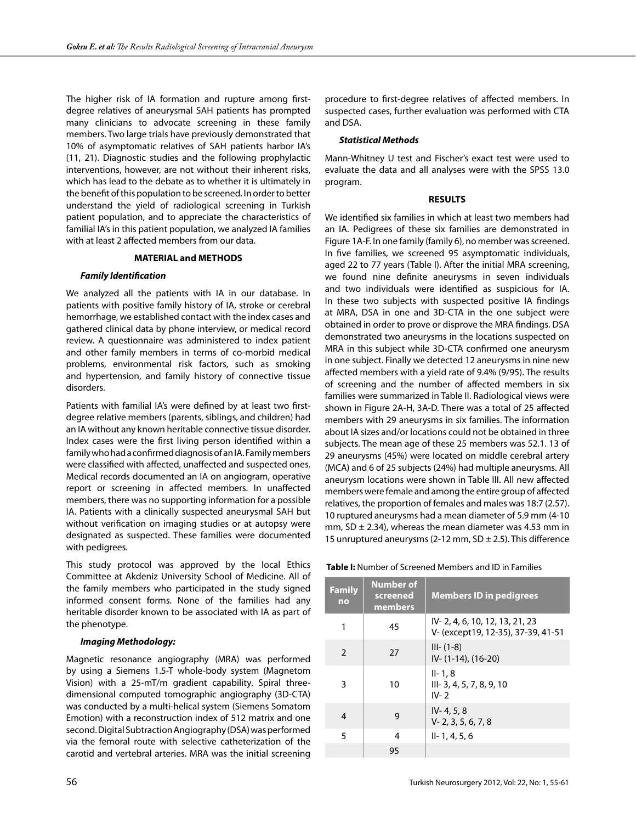The higher risk of IA formation and rupture among firstdegree relatives of aneurysmal SAH patients has prompted many clinicians to advocate screening in these family members. Two large trials have previously demonstrated that 10% of asymptomatic relatives of SAH patients harbor IA's (11, 21). Diagnostic studies and the following prophylactic interventions, however, are not without their inherent risks, which has lead to the debate as to whether it is ultimately in the benefit of this population to be screened. In order to better understand the yield of radiological screening in Turkish patient population, and to appreciate the characteristics of familial IA's in this patient population, we analyzed IA families with at least 2 affected members from our data.

#### **MATERIAL and METHODS**

# *Family Identification*

We analyzed all the patients with IA in our database. In patients with positive family history of IA, stroke or cerebral hemorrhage, we established contact with the index cases and gathered clinical data by phone interview, or medical record review. A questionnaire was administered to index patient and other family members in terms of co-morbid medical problems, environmental risk factors, such as smoking and hypertension, and family history of connective tissue disorders.

Patients with familial IA's were defined by at least two firstdegree relative members (parents, siblings, and children) had an IA without any known heritable connective tissue disorder. Index cases were the first living person identified within a family who had a confirmed diagnosis of an IA. Family members were classified with affected, unaffected and suspected ones. Medical records documented an IA on angiogram, operative report or screening in affected members. In unaffected members, there was no supporting information for a possible IA. Patients with a clinically suspected aneurysmal SAH but without verification on imaging studies or at autopsy were designated as suspected. These families were documented with pedigrees.

This study protocol was approved by the local Ethics Committee at Akdeniz University School of Medicine. All of the family members who participated in the study signed informed consent forms. None of the families had any heritable disorder known to be associated with IA as part of the phenotype.

#### *Imaging Methodology:*

Magnetic resonance angiography (MRA) was performed by using a Siemens 1.5-T whole-body system (Magnetom Vision) with a 25-mT/m gradient capability. Spiral threedimensional computed tomographic angiography (3D-CTA) was conducted by a multi-helical system (Siemens Somatom Emotion) with a reconstruction index of 512 matrix and one second. Digital Subtraction Angiography (DSA) was performed via the femoral route with selective catheterization of the carotid and vertebral arteries. MRA was the initial screening

procedure to first-degree relatives of affected members. In suspected cases, further evaluation was performed with CTA and DSA.

# *Statistical Methods*

Mann-Whitney U test and Fischer's exact test were used to evaluate the data and all analyses were with the SPSS 13.0 program.

### **RESULTS**

We identified six families in which at least two members had an IA. Pedigrees of these six families are demonstrated in Figure 1A-F. In one family (family 6), no member was screened. In five families, we screened 95 asymptomatic individuals, aged 22 to 77 years (Table I). After the initial MRA screening, we found nine definite aneurysms in seven individuals and two individuals were identified as suspicious for IA. In these two subjects with suspected positive IA findings at MRA, DSA in one and 3D-CTA in the one subject were obtained in order to prove or disprove the MRA findings. DSA demonstrated two aneurysms in the locations suspected on MRA in this subject while 3D-CTA confirmed one aneurysm in one subject. Finally we detected 12 aneurysms in nine new affected members with a yield rate of 9.4% (9/95). The results of screening and the number of affected members in six families were summarized in Table II. Radiological views were shown in Figure 2A-H, 3A-D. There was a total of 25 affected members with 29 aneurysms in six families. The information about IA sizes and/or locations could not be obtained in three subjects. The mean age of these 25 members was 52.1. 13 of 29 aneurysms (45%) were located on middle cerebral artery (MCA) and 6 of 25 subjects (24%) had multiple aneurysms. All aneurysm locations were shown in Table III. All new affected members were female and among the entire group of affected relatives, the proportion of females and males was 18:7 (2.57). 10 ruptured aneurysms had a mean diameter of 5.9 mm (4-10 mm, SD  $\pm$  2.34), whereas the mean diameter was 4.53 mm in 15 unruptured aneurysms (2-12 mm,  $SD \pm 2.5$ ). This difference

 **Table I:** Number of Screened Members and ID in Families

| <b>Family</b><br>no | <b>Number of</b><br>screened<br>members | <b>Members ID in pedigrees</b>                                       |
|---------------------|-----------------------------------------|----------------------------------------------------------------------|
| 1                   | 45                                      | IV-2, 4, 6, 10, 12, 13, 21, 23<br>V- (except19, 12-35), 37-39, 41-51 |
| $\mathcal{P}$       | 27                                      | $III - (1-8)$<br>$IV - (1-14)$ , $(16-20)$                           |
| 3                   | 10                                      | $II - 1.8$<br>$III - 3, 4, 5, 7, 8, 9, 10$<br>$IV-2$                 |
| 4                   | 9                                       | $IV - 4, 5, 8$<br>$V - 2, 3, 5, 6, 7, 8$                             |
| 5                   | 4                                       | $II - 1, 4, 5, 6$                                                    |
|                     | 95                                      |                                                                      |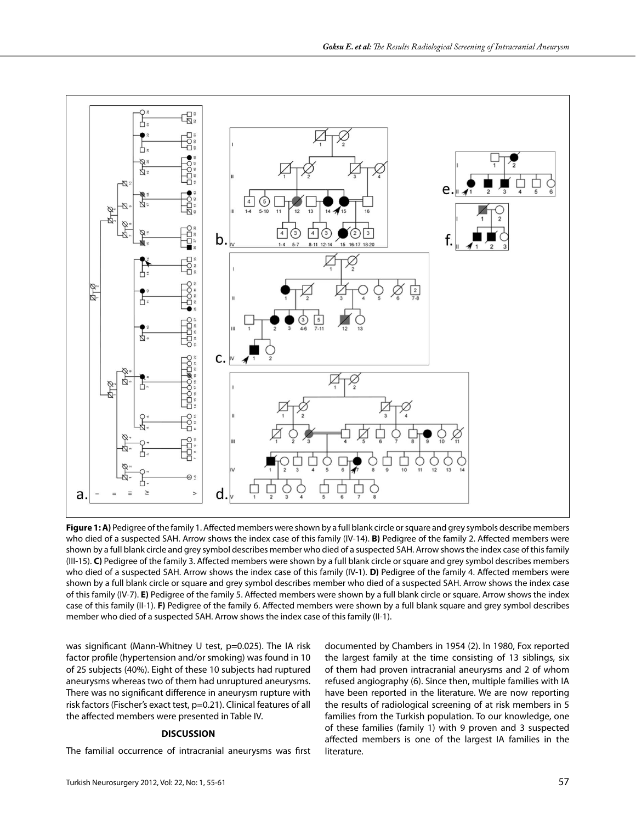

**Figure 1: A)** Pedigree of the family 1. Affected members were shown by a full blank circle or square and grey symbols describe members who died of a suspected SAH. Arrow shows the index case of this family (IV-14). **B)** Pedigree of the family 2. Affected members were shown by a full blank circle and grey symbol describes member who died of a suspected SAH. Arrow shows the index case of this family (III-15). **C)** Pedigree of the family 3. Affected members were shown by a full blank circle or square and grey symbol describes members who died of a suspected SAH. Arrow shows the index case of this family (IV-1). **D)** Pedigree of the family 4. Affected members were shown by a full blank circle or square and grey symbol describes member who died of a suspected SAH. Arrow shows the index case of this family (IV-7). **E)** Pedigree of the family 5. Affected members were shown by a full blank circle or square. Arrow shows the index case of this family (II-1). **F)** Pedigree of the family 6. Affected members were shown by a full blank square and grey symbol describes member who died of a suspected SAH. Arrow shows the index case of this family (II-1).

was significant (Mann-Whitney U test, p=0.025). The IA risk factor profile (hypertension and/or smoking) was found in 10 of 25 subjects (40%). Eight of these 10 subjects had ruptured aneurysms whereas two of them had unruptured aneurysms. There was no significant difference in aneurysm rupture with risk factors (Fischer's exact test, p=0.21). Clinical features of all the affected members were presented in Table IV.

# **DISCUSSION**

The familial occurrence of intracranial aneurysms was first

documented by Chambers in 1954 (2). In 1980, Fox reported the largest family at the time consisting of 13 siblings, six of them had proven intracranial aneurysms and 2 of whom refused angiography (6). Since then, multiple families with IA have been reported in the literature. We are now reporting the results of radiological screening of at risk members in 5 families from the Turkish population. To our knowledge, one of these families (family 1) with 9 proven and 3 suspected affected members is one of the largest IA families in the literature.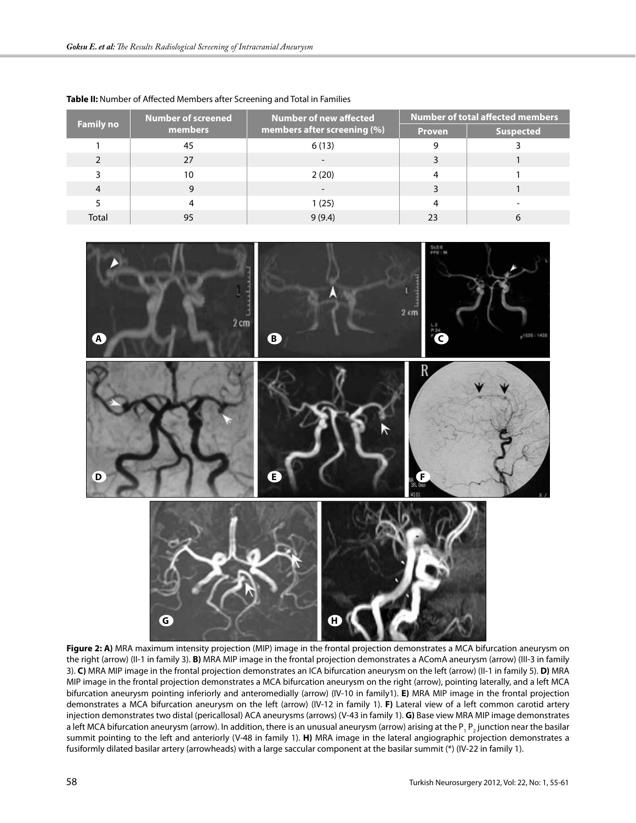| <b>Family no</b> | Number of screened | <b>Number of new affected</b> | <b>Number of total affected members</b> |                  |  |
|------------------|--------------------|-------------------------------|-----------------------------------------|------------------|--|
|                  | members            | members after screening (%)   | <b>Proven</b>                           | <b>Suspected</b> |  |
|                  | 45                 | 6(13)                         |                                         |                  |  |
|                  | 27                 |                               |                                         |                  |  |
| ٦                | 10                 | 2(20)                         | 4                                       |                  |  |
| 4                | 9                  |                               |                                         |                  |  |
|                  | 4                  | 1 (25)                        | 4                                       |                  |  |
| Total            | 95                 | 9(9.4)                        | 23                                      |                  |  |





**Figure 2: A)** MRA maximum intensity projection (MIP) image in the frontal projection demonstrates a MCA bifurcation aneurysm on the right (arrow) (II-1 in family 3). **B)** MRA MIP image in the frontal projection demonstrates a AComA aneurysm (arrow) (III-3 in family 3). **C)** MRA MIP image in the frontal projection demonstrates an ICA bifurcation aneurysm on the left (arrow) (II-1 in family 5). **D)** MRA MIP image in the frontal projection demonstrates a MCA bifurcation aneurysm on the right (arrow), pointing laterally, and a left MCA bifurcation aneurysm pointing inferiorly and anteromedially (arrow) (IV-10 in family1). **E)** MRA MIP image in the frontal projection demonstrates a MCA bifurcation aneurysm on the left (arrow) (IV-12 in family 1). **F)** Lateral view of a left common carotid artery injection demonstrates two distal (pericallosal) ACA aneurysms (arrows) (V-43 in family 1). **G)** Base view MRA MIP image demonstrates a left MCA bifurcation aneurysm (arrow). In addition, there is an unusual aneurysm (arrow) arising at the P<sub>1</sub> P<sub>2</sub> junction near the basilar summit pointing to the left and anteriorly (V-48 in family 1). **H)** MRA image in the lateral angiographic projection demonstrates a fusiformly dilated basilar artery (arrowheads) with a large saccular component at the basilar summit (\*) (IV-22 in family 1).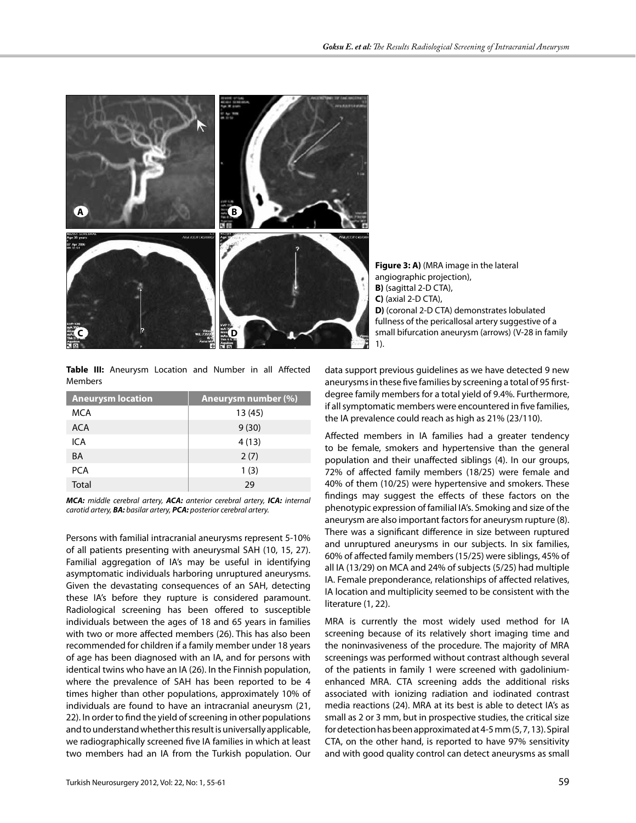

**Figure 3: A)** (MRA image in the lateral angiographic projection), **B)** (sagittal 2-D CTA), **C)** (axial 2-D CTA), **D)** (coronal 2-D CTA) demonstrates lobulated fullness of the pericallosal artery suggestive of a small bifurcation aneurysm (arrows) (V-28 in family 1).

**Table III:** Aneurysm Location and Number in all Affected Members

| <b>Aneurysm location</b> | Aneurysm number (%) |
|--------------------------|---------------------|
| MCA                      | 13(45)              |
| <b>ACA</b>               | 9(30)               |
| ICA                      | 4(13)               |
| <b>BA</b>                | 2(7)                |
| <b>PCA</b>               | 1(3)                |
| <b>Total</b>             | 29                  |

*MCA: middle cerebral artery, ACA: anterior cerebral artery, ICA: internal carotid artery, BA: basilar artery, PCA: posterior cerebral artery.*

Persons with familial intracranial aneurysms represent 5-10% of all patients presenting with aneurysmal SAH (10, 15, 27). Familial aggregation of IA's may be useful in identifying asymptomatic individuals harboring unruptured aneurysms. Given the devastating consequences of an SAH, detecting these IA's before they rupture is considered paramount. Radiological screening has been offered to susceptible individuals between the ages of 18 and 65 years in families with two or more affected members (26). This has also been recommended for children if a family member under 18 years of age has been diagnosed with an IA, and for persons with identical twins who have an IA (26). In the Finnish population, where the prevalence of SAH has been reported to be 4 times higher than other populations, approximately 10% of individuals are found to have an intracranial aneurysm (21, 22). In order to find the yield of screening in other populations and to understand whether this result is universally applicable, we radiographically screened five IA families in which at least two members had an IA from the Turkish population. Our

Turkish Neurosurgery 2012, Vol: 22, No: 1, 55-61 59

data support previous guidelines as we have detected 9 new aneurysms in these five families by screening a total of 95 firstdegree family members for a total yield of 9.4%. Furthermore, if all symptomatic members were encountered in five families, the IA prevalence could reach as high as 21% (23/110).

Affected members in IA families had a greater tendency to be female, smokers and hypertensive than the general population and their unaffected siblings (4). In our groups, 72% of affected family members (18/25) were female and 40% of them (10/25) were hypertensive and smokers. These findings may suggest the effects of these factors on the phenotypic expression of familial IA's. Smoking and size of the aneurysm are also important factors for aneurysm rupture (8). There was a significant difference in size between ruptured and unruptured aneurysms in our subjects. In six families, 60% of affected family members (15/25) were siblings, 45% of all IA (13/29) on MCA and 24% of subjects (5/25) had multiple IA. Female preponderance, relationships of affected relatives, IA location and multiplicity seemed to be consistent with the literature (1, 22).

MRA is currently the most widely used method for IA screening because of its relatively short imaging time and the noninvasiveness of the procedure. The majority of MRA screenings was performed without contrast although several of the patients in family 1 were screened with gadoliniumenhanced MRA. CTA screening adds the additional risks associated with ionizing radiation and iodinated contrast media reactions (24). MRA at its best is able to detect IA's as small as 2 or 3 mm, but in prospective studies, the critical size for detection has been approximated at 4-5 mm (5, 7, 13). Spiral CTA, on the other hand, is reported to have 97% sensitivity and with good quality control can detect aneurysms as small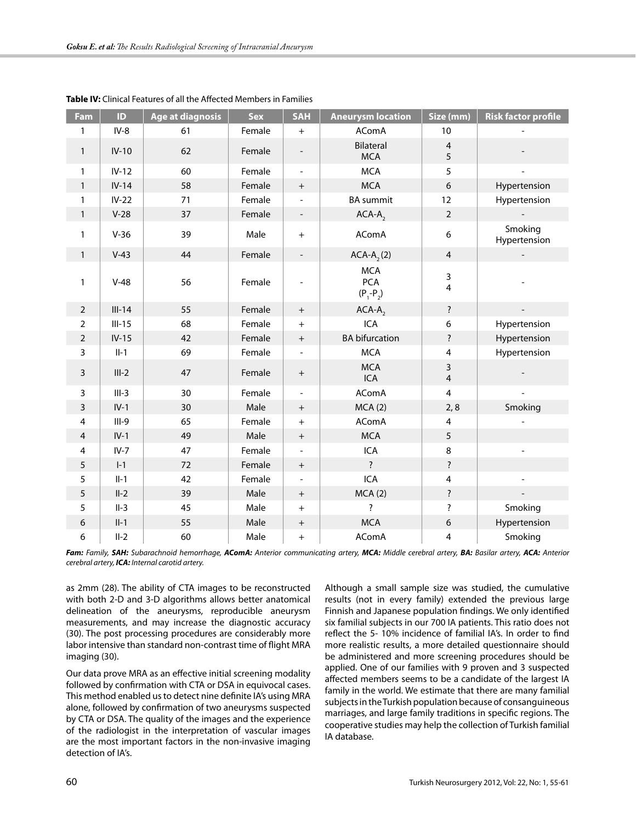| Fam            | ID       | Age at diagnosis | <b>Sex</b> | <b>SAH</b>                       | <b>Aneurysm location</b>                  | Size (mm)                    | <b>Risk factor profile</b> |
|----------------|----------|------------------|------------|----------------------------------|-------------------------------------------|------------------------------|----------------------------|
| 1              | $IV-8$   | 61               | Female     | $+$                              | <b>AComA</b>                              | 10                           |                            |
| $\mathbf{1}$   | $IV-10$  | 62               | Female     | $\overline{\phantom{a}}$         | Bilateral<br><b>MCA</b>                   | $\overline{4}$<br>5          |                            |
| 1              | $IV-12$  | 60               | Female     | $\overline{\phantom{a}}$         | <b>MCA</b>                                | 5                            |                            |
| $\mathbf{1}$   | $IV-14$  | 58               | Female     | $+$                              | <b>MCA</b>                                | $\boldsymbol{6}$             | Hypertension               |
| 1              | $IV-22$  | 71               | Female     |                                  | <b>BA</b> summit                          | 12                           | Hypertension               |
| $\mathbf{1}$   | $V-28$   | 37               | Female     | $\overline{\phantom{a}}$         | $ACA-A$ <sub>2</sub>                      | $\mathbf 2$                  |                            |
| 1              | $V-36$   | 39               | Male       | $+$                              | AComA                                     | 6                            | Smoking<br>Hypertension    |
| $\mathbf{1}$   | $V-43$   | 44               | Female     | $\overline{\phantom{a}}$         | $ACA-A$ <sub>2</sub> $(2)$                | $\overline{4}$               |                            |
| 1              | $V-48$   | 56               | Female     |                                  | <b>MCA</b><br><b>PCA</b><br>$(P_1 - P_2)$ | 3<br>$\overline{\mathbf{4}}$ |                            |
| $\overline{2}$ | $III-14$ | 55               | Female     | $+$                              | $ACA-A$ ,                                 | $\overline{\cdot}$           |                            |
| $\overline{2}$ | $III-15$ | 68               | Female     | $+$                              | ICA                                       | 6                            | Hypertension               |
| $\overline{2}$ | $IV-15$  | 42               | Female     | $+$                              | <b>BA</b> bifurcation                     | $\ddot{?}$                   | Hypertension               |
| $\mathbf{3}$   | $II-1$   | 69               | Female     | $\overline{\phantom{0}}$         | <b>MCA</b>                                | $\overline{4}$               | Hypertension               |
| $\mathbf{3}$   | $III-2$  | 47               | Female     | $\begin{array}{c} + \end{array}$ | <b>MCA</b><br>ICA                         | 3<br>$\overline{4}$          |                            |
| $\overline{3}$ | $III-3$  | 30               | Female     |                                  | <b>AComA</b>                              | $\overline{4}$               |                            |
| 3              | $IV-1$   | 30               | Male       | $+$                              | MCA(2)                                    | 2, 8                         | Smoking                    |
| 4              | $III-9$  | 65               | Female     | $+$                              | AComA                                     | $\overline{\mathbf{4}}$      |                            |
| 4              | $IV-1$   | 49               | Male       | $+$                              | <b>MCA</b>                                | 5                            |                            |
| 4              | $IV-7$   | 47               | Female     |                                  | ICA                                       | 8                            |                            |
| 5              | $I-1$    | 72               | Female     | $+$                              | $\overline{\cdot}$                        | ?                            |                            |
| 5              | $II-1$   | 42               | Female     |                                  | <b>ICA</b>                                | 4                            |                            |
| 5              | $II-2$   | 39               | Male       | $\boldsymbol{+}$                 | MCA(2)                                    | $\overline{\cdot}$           |                            |
| 5              | $II-3$   | 45               | Male       | $+$                              | Ż.                                        | $\overline{\cdot}$           | Smoking                    |
| 6              | $II-1$   | 55               | Male       | $\boldsymbol{+}$                 | <b>MCA</b>                                | $\boldsymbol{6}$             | Hypertension               |
| 6              | $II-2$   | 60               | Male       | $+$                              | <b>AComA</b>                              | 4                            | Smoking                    |

| Table IV: Clinical Features of all the Affected Members in Families |  |
|---------------------------------------------------------------------|--|
|---------------------------------------------------------------------|--|

Fam: Family, SAH: Subarachnoid hemorrhage, AComA: Anterior communicating artery, MCA: Middle cerebral artery, BA: Basilar artery, ACA: Anterior *cerebral artery, ICA: Internal carotid artery.* 

as 2mm (28). The ability of CTA images to be reconstructed with both 2-D and 3-D algorithms allows better anatomical delineation of the aneurysms, reproducible aneurysm measurements, and may increase the diagnostic accuracy (30). The post processing procedures are considerably more labor intensive than standard non-contrast time of flight MRA imaging (30).

Our data prove MRA as an effective initial screening modality followed by confirmation with CTA or DSA in equivocal cases. This method enabled us to detect nine definite IA's using MRA alone, followed by confirmation of two aneurysms suspected by CTA or DSA. The quality of the images and the experience of the radiologist in the interpretation of vascular images are the most important factors in the non-invasive imaging detection of IA's.

Although a small sample size was studied, the cumulative results (not in every family) extended the previous large Finnish and Japanese population findings. We only identified six familial subjects in our 700 IA patients. This ratio does not reflect the 5- 10% incidence of familial IA's. In order to find more realistic results, a more detailed questionnaire should be administered and more screening procedures should be applied. One of our families with 9 proven and 3 suspected affected members seems to be a candidate of the largest IA family in the world. We estimate that there are many familial subjects in the Turkish population because of consanguineous marriages, and large family traditions in specific regions. The cooperative studies may help the collection of Turkish familial IA database.